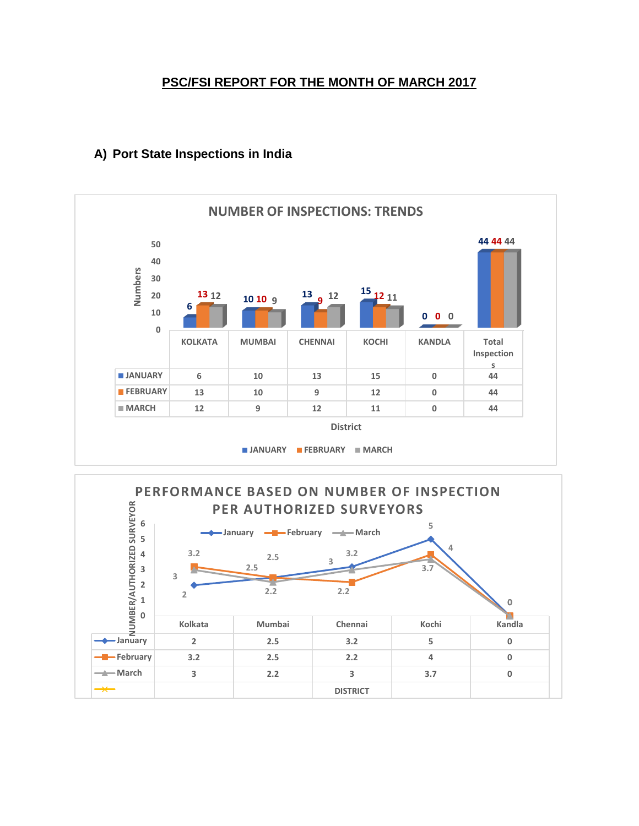### **PSC/FSI REPORT FOR THE MONTH OF MARCH 2017**



### **A) Port State Inspections in India**

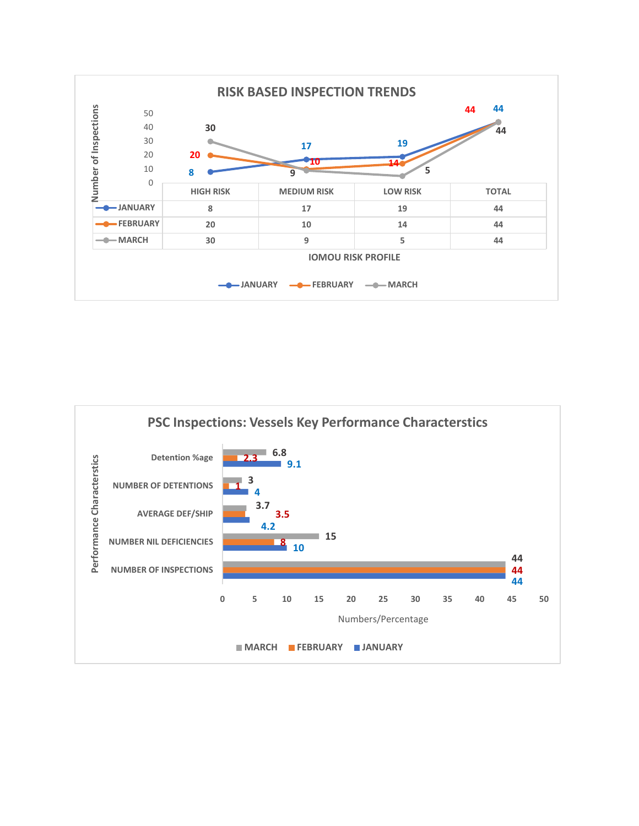

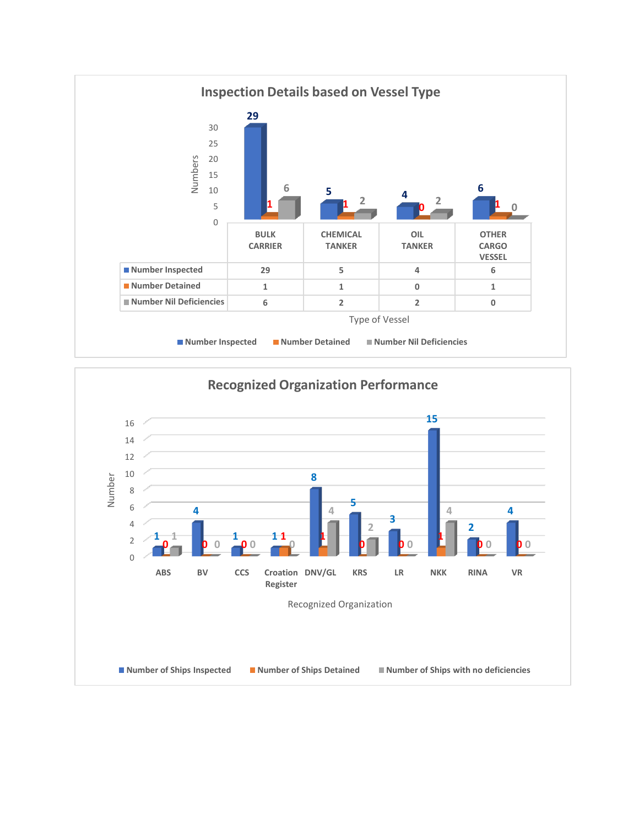

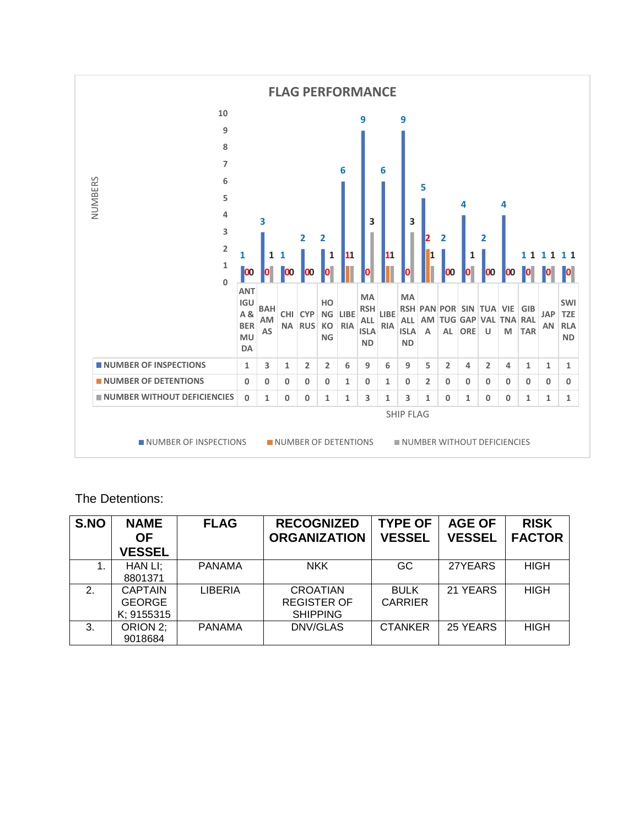

#### The Detentions:

| S.NO          | <b>NAME</b><br><b>OF</b> | <b>FLAG</b>   | <b>RECOGNIZED</b><br><b>ORGANIZATION</b> | <b>TYPE OF</b><br><b>VESSEL</b> | <b>AGE OF</b><br><b>VESSEL</b> | <b>RISK</b><br><b>FACTOR</b> |
|---------------|--------------------------|---------------|------------------------------------------|---------------------------------|--------------------------------|------------------------------|
|               | <b>VESSEL</b>            |               |                                          |                                 |                                |                              |
|               | HAN LI:                  | <b>PANAMA</b> | <b>NKK</b>                               | GC                              | 27YEARS                        | <b>HIGH</b>                  |
|               | 8801371                  |               |                                          |                                 |                                |                              |
| $\mathcal{P}$ | <b>CAPTAIN</b>           | LIBERIA       | <b>CROATIAN</b>                          | <b>BULK</b>                     | 21 YEARS                       | <b>HIGH</b>                  |
|               | <b>GEORGE</b>            |               | <b>REGISTER OF</b>                       | <b>CARRIER</b>                  |                                |                              |
|               | K; 9155315               |               | <b>SHIPPING</b>                          |                                 |                                |                              |
| 3.            | ORION 2:                 | <b>PANAMA</b> | DNV/GLAS                                 | <b>CTANKER</b>                  | 25 YEARS                       | <b>HIGH</b>                  |
|               | 9018684                  |               |                                          |                                 |                                |                              |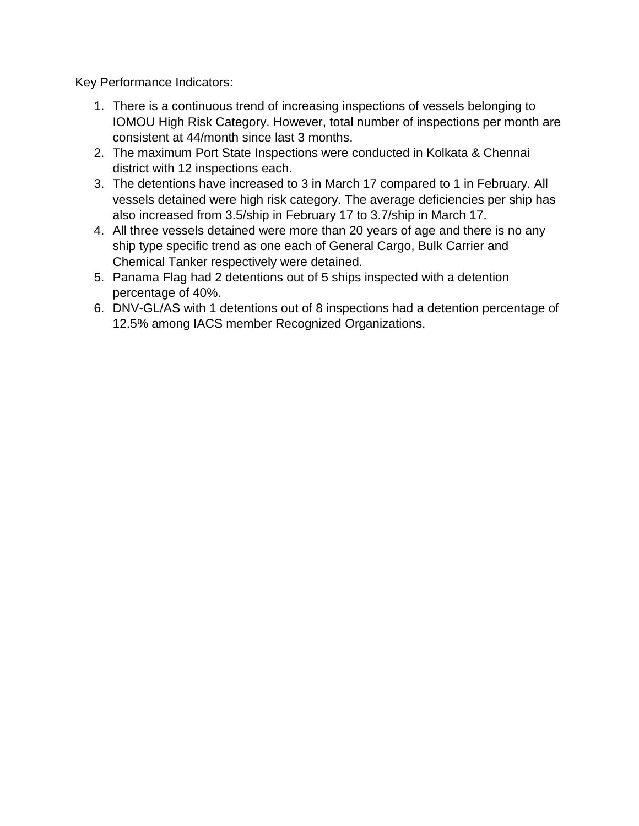Key Performance Indicators:

- 1. There is a continuous trend of increasing inspections of vessels belonging to IOMOU High Risk Category. However, total number of inspections per month are consistent at 44/month since last 3 months.
- 2. The maximum Port State Inspections were conducted in Kolkata & Chennai district with 12 inspections each.
- 3. The detentions have increased to 3 in March 17 compared to 1 in February. All vessels detained were high risk category. The average deficiencies per ship has also increased from 3.5/ship in February 17 to 3.7/ship in March 17.
- 4. All three vessels detained were more than 20 years of age and there is no any ship type specific trend as one each of General Cargo, Bulk Carrier and Chemical Tanker respectively were detained.
- 5. Panama Flag had 2 detentions out of 5 ships inspected with a detention percentage of 40%.
- 6. DNV-GL/AS with 1 detentions out of 8 inspections had a detention percentage of 12.5% among IACS member Recognized Organizations.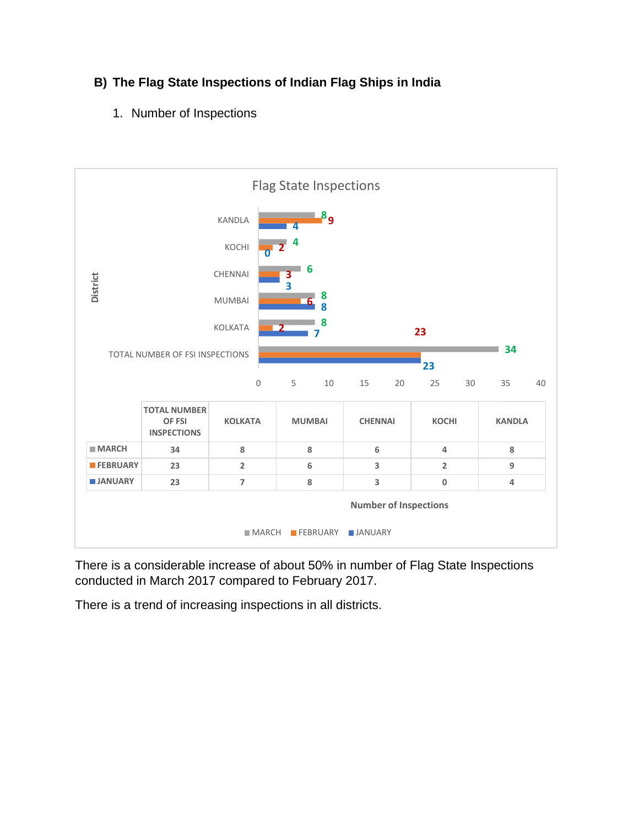# **B) The Flag State Inspections of Indian Flag Ships in India**

1. Number of Inspections



There is a considerable increase of about 50% in number of Flag State Inspections conducted in March 2017 compared to February 2017.

There is a trend of increasing inspections in all districts.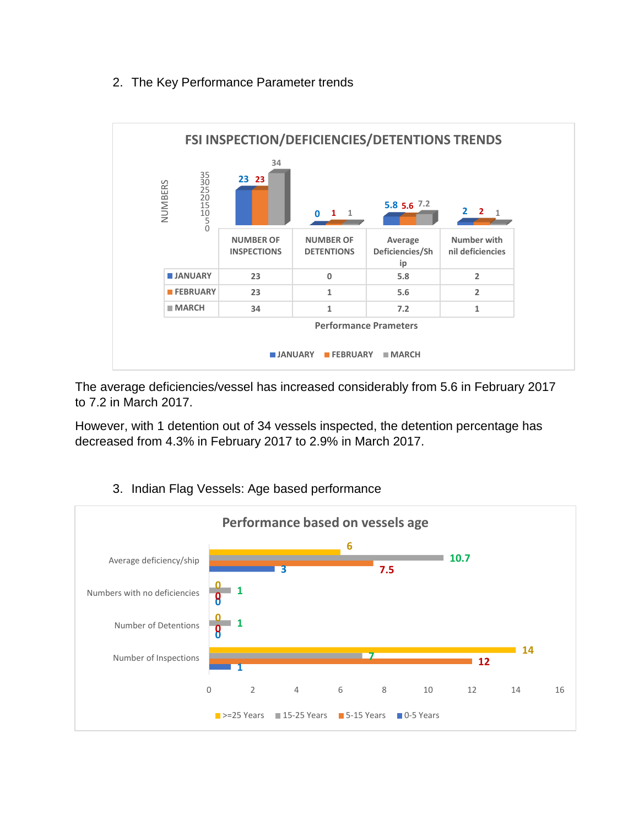## 2. The Key Performance Parameter trends



The average deficiencies/vessel has increased considerably from 5.6 in February 2017 to 7.2 in March 2017.

However, with 1 detention out of 34 vessels inspected, the detention percentage has decreased from 4.3% in February 2017 to 2.9% in March 2017.



## 3. Indian Flag Vessels: Age based performance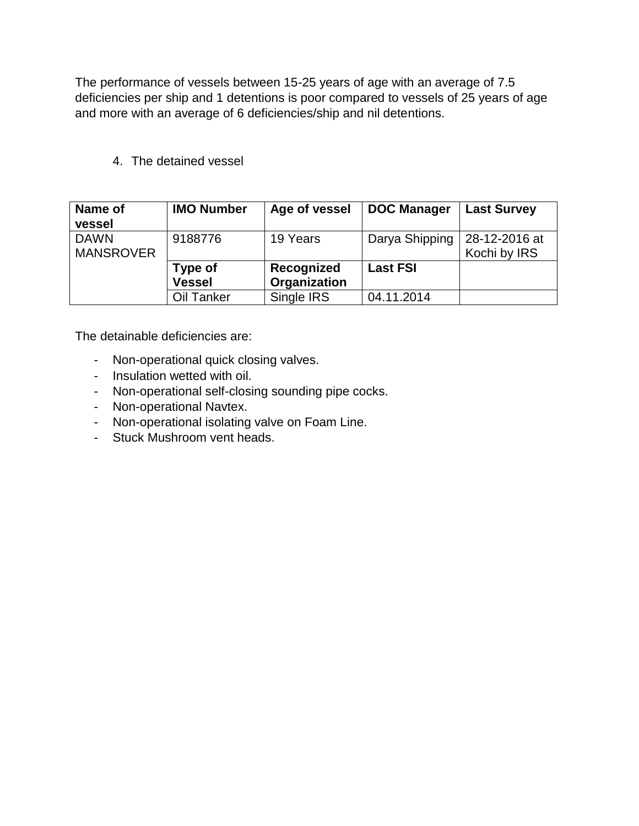The performance of vessels between 15-25 years of age with an average of 7.5 deficiencies per ship and 1 detentions is poor compared to vessels of 25 years of age and more with an average of 6 deficiencies/ship and nil detentions.

4. The detained vessel

| Name of<br>vessel               | <b>IMO Number</b>        | Age of vessel              | <b>DOC Manager</b> | <b>Last Survey</b>            |
|---------------------------------|--------------------------|----------------------------|--------------------|-------------------------------|
| <b>DAWN</b><br><b>MANSROVER</b> | 9188776                  | 19 Years                   | Darya Shipping     | 28-12-2016 at<br>Kochi by IRS |
|                                 | Type of<br><b>Vessel</b> | Recognized<br>Organization | <b>Last FSI</b>    |                               |
|                                 | Oil Tanker               | Single IRS                 | 04.11.2014         |                               |

The detainable deficiencies are:

- Non-operational quick closing valves.
- Insulation wetted with oil.
- Non-operational self-closing sounding pipe cocks.
- Non-operational Navtex.
- Non-operational isolating valve on Foam Line.
- Stuck Mushroom vent heads.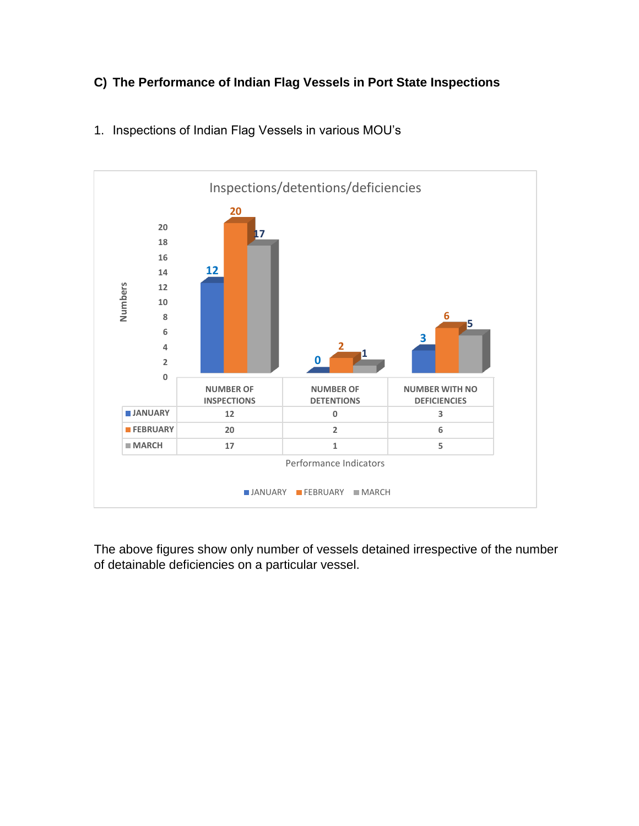# **C) The Performance of Indian Flag Vessels in Port State Inspections**



### 1. Inspections of Indian Flag Vessels in various MOU's

The above figures show only number of vessels detained irrespective of the number of detainable deficiencies on a particular vessel.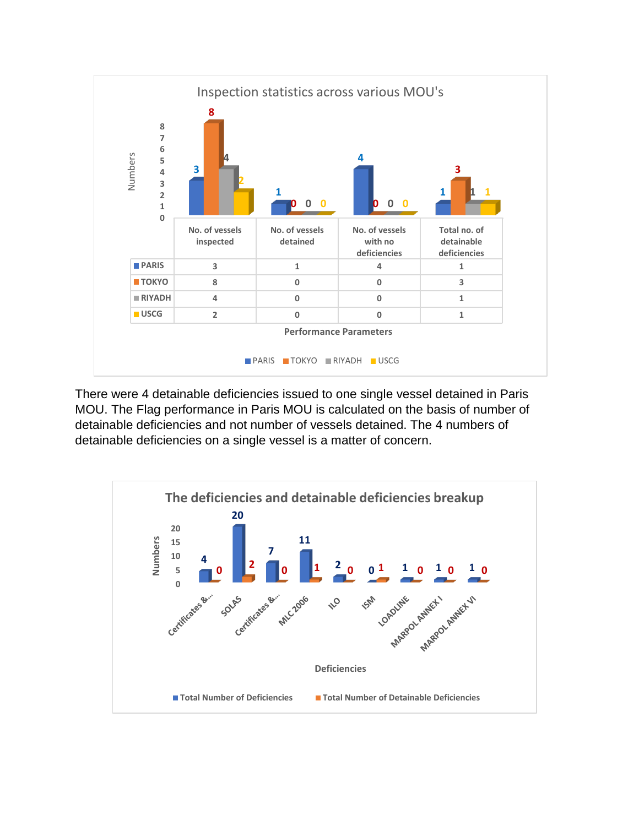

There were 4 detainable deficiencies issued to one single vessel detained in Paris MOU. The Flag performance in Paris MOU is calculated on the basis of number of detainable deficiencies and not number of vessels detained. The 4 numbers of detainable deficiencies on a single vessel is a matter of concern.

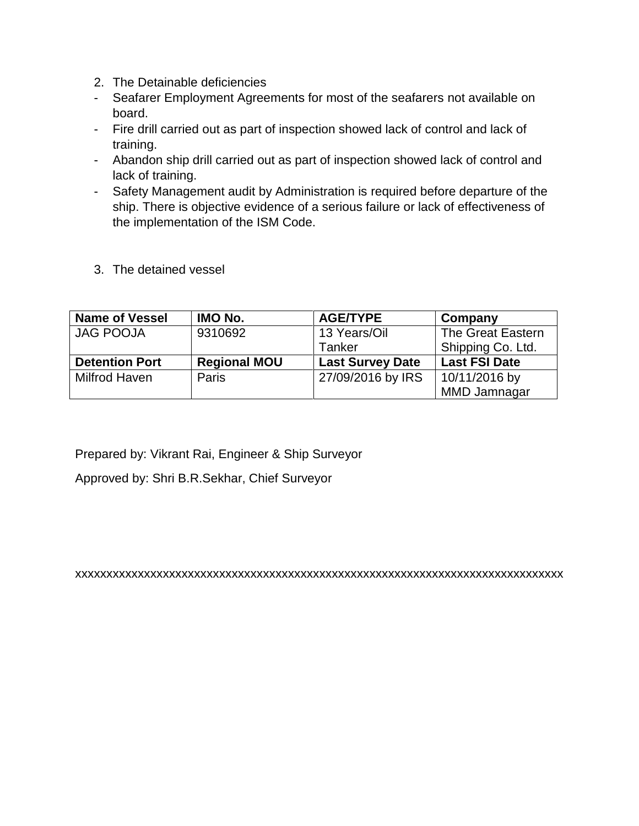- 2. The Detainable deficiencies
- Seafarer Employment Agreements for most of the seafarers not available on board.
- Fire drill carried out as part of inspection showed lack of control and lack of training.
- Abandon ship drill carried out as part of inspection showed lack of control and lack of training.
- Safety Management audit by Administration is required before departure of the ship. There is objective evidence of a serious failure or lack of effectiveness of the implementation of the ISM Code.
- 3. The detained vessel

| <b>Name of Vessel</b> | IMO No.             | <b>AGE/TYPE</b>         | Company              |
|-----------------------|---------------------|-------------------------|----------------------|
| <b>JAG POOJA</b>      | 9310692             | 13 Years/Oil            | The Great Eastern    |
|                       |                     | Tanker                  | Shipping Co. Ltd.    |
| <b>Detention Port</b> | <b>Regional MOU</b> | <b>Last Survey Date</b> | <b>Last FSI Date</b> |
| Milfrod Haven         | Paris               | 27/09/2016 by IRS       | 10/11/2016 by        |
|                       |                     |                         | MMD Jamnagar         |

Prepared by: Vikrant Rai, Engineer & Ship Surveyor

Approved by: Shri B.R.Sekhar, Chief Surveyor

xxxxxxxxxxxxxxxxxxxxxxxxxxxxxxxxxxxxxxxxxxxxxxxxxxxxxxxxxxxxxxxxxxxxxxxxxxxxxx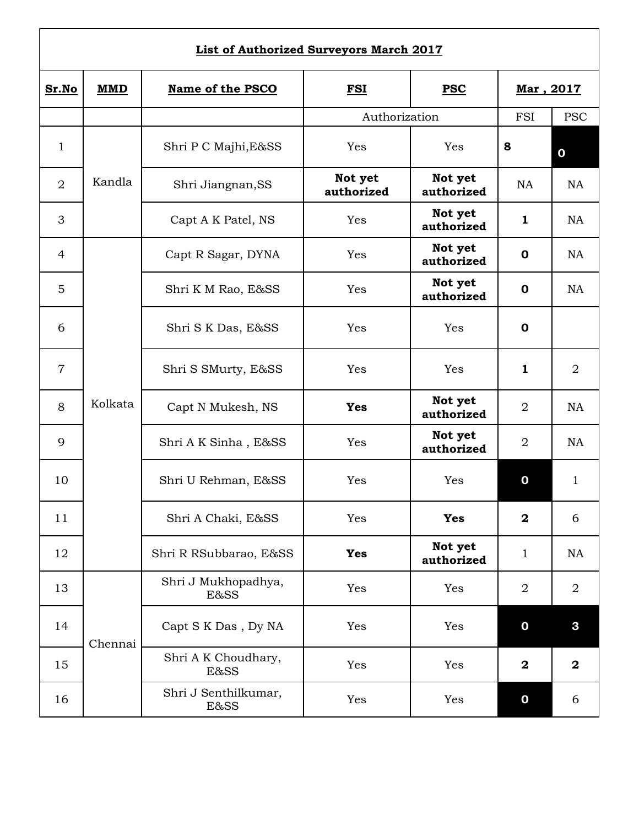## **List of Authorized Surveyors March 2017**

| Sr.No          | <b>MMD</b> | Name of the PSCO             | <b>FSI</b><br><b>PSC</b> |                       | Mar, 2017        |                |  |
|----------------|------------|------------------------------|--------------------------|-----------------------|------------------|----------------|--|
|                |            | Authorization                |                          | FSI                   | <b>PSC</b>       |                |  |
| 1              |            | Shri P C Majhi, E&SS         | Yes                      | Yes                   | 8                | $\mathbf 0$    |  |
| $\overline{2}$ | Kandla     | Shri Jiangnan, SS            | Not yet<br>authorized    | Not yet<br>authorized | <b>NA</b>        | <b>NA</b>      |  |
| 3              |            | Capt A K Patel, NS           | Yes                      | Not yet<br>authorized | $\mathbf{1}$     | <b>NA</b>      |  |
| $\overline{4}$ |            | Capt R Sagar, DYNA           | Yes                      | Not yet<br>authorized | $\mathbf 0$      | <b>NA</b>      |  |
| 5              |            | Shri K M Rao, E&SS           | Yes                      | Not yet<br>authorized | $\mathbf 0$      | <b>NA</b>      |  |
| 6              |            | Shri S K Das, E&SS           | Yes                      | Yes                   | $\mathbf 0$      |                |  |
| $\overline{7}$ |            | Shri S SMurty, E&SS          | Yes                      | Yes                   | $\mathbf{1}$     | $\overline{2}$ |  |
| 8              | Kolkata    | Capt N Mukesh, NS            | <b>Yes</b>               | Not yet<br>authorized | $\overline{2}$   | <b>NA</b>      |  |
| 9              |            | Shri A K Sinha, E&SS         | Yes                      | Not yet<br>authorized | $\overline{2}$   | <b>NA</b>      |  |
| 10             |            | Shri U Rehman, E&SS          | Yes                      | Yes                   | $\mathbf 0$      | $\mathbf{1}$   |  |
| 11             |            | Shri A Chaki, E&SS           | Yes                      | Yes                   | $\mathbf{2}$     | 6              |  |
| 12             |            | Shri R RSubbarao, E&SS       | <b>Yes</b>               | Not yet<br>authorized | $\mathbf{1}$     | NA             |  |
| 13             |            | Shri J Mukhopadhya,<br>E&SS  | Yes                      | Yes                   | $\overline{2}$   | $\overline{2}$ |  |
| 14             | Chennai    | Capt S K Das, Dy NA          | Yes                      | Yes                   | $\mathbf 0$      | $\mathbf{3}$   |  |
| 15             |            | Shri A K Choudhary,<br>E&SS  | Yes                      | Yes                   | $\boldsymbol{2}$ | $\mathbf{2}$   |  |
| 16             |            | Shri J Senthilkumar,<br>E&SS | Yes                      | Yes                   | $\mathbf 0$      | 6              |  |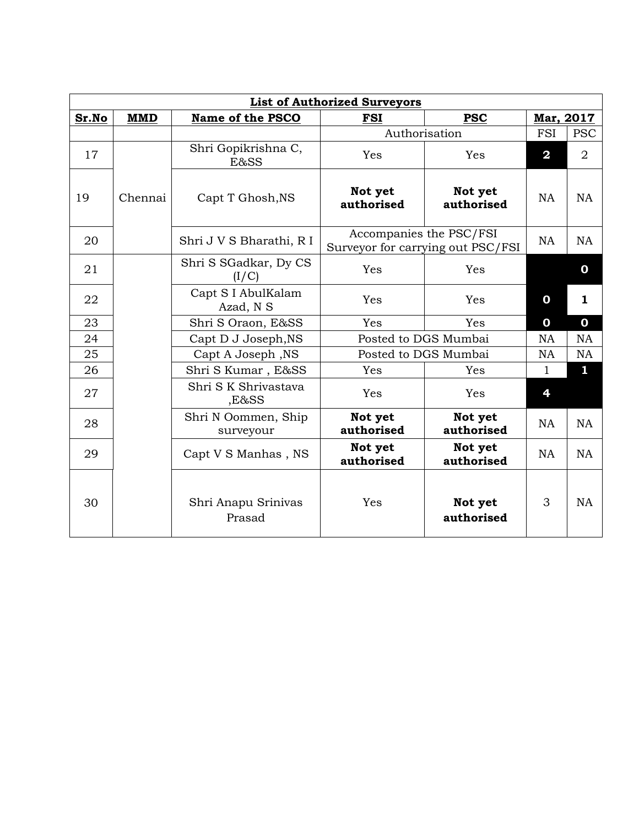| <b>List of Authorized Surveyors</b> |            |                                  |                                                              |                       |                         |                |  |  |
|-------------------------------------|------------|----------------------------------|--------------------------------------------------------------|-----------------------|-------------------------|----------------|--|--|
| Sr.No                               | <b>MMD</b> | Name of the PSCO                 | <b>FSI</b>                                                   | <b>PSC</b>            | Mar, 2017               |                |  |  |
|                                     |            |                                  | Authorisation                                                | <b>FSI</b>            | <b>PSC</b>              |                |  |  |
| 17                                  |            | Shri Gopikrishna C,<br>E&SS      | Yes                                                          | Yes                   | $\overline{\mathbf{2}}$ | $\overline{2}$ |  |  |
| 19                                  | Chennai    | Capt T Ghosh, NS                 | Not yet<br>authorised                                        | Not yet<br>authorised | <b>NA</b>               | <b>NA</b>      |  |  |
| 20                                  |            | Shri J V S Bharathi, R I         | Accompanies the PSC/FSI<br>Surveyor for carrying out PSC/FSI |                       | <b>NA</b>               | <b>NA</b>      |  |  |
| 21                                  |            | Shri S SGadkar, Dy CS<br>(I/C)   | Yes                                                          | Yes                   |                         | 0              |  |  |
| 22                                  |            | Capt S I AbulKalam<br>Azad, N S  | Yes                                                          | Yes                   | 0                       | 1              |  |  |
| 23                                  |            | Shri S Oraon, E&SS               | Yes                                                          | <b>Yes</b>            | $\mathbf 0$             | $\mathbf 0$    |  |  |
| 24                                  |            | Capt D J Joseph, NS              | Posted to DGS Mumbai                                         |                       | <b>NA</b>               | NA             |  |  |
| 25                                  |            | Capt A Joseph, NS                | Posted to DGS Mumbai                                         |                       | <b>NA</b>               | <b>NA</b>      |  |  |
| 26                                  |            | Shri S Kumar, E&SS               | Yes                                                          | Yes                   | 1                       | 1              |  |  |
| 27                                  |            | Shri S K Shrivastava<br>,E&SS    | Yes                                                          | Yes                   | 4                       |                |  |  |
| 28                                  |            | Shri N Oommen, Ship<br>surveyour | Not yet<br>authorised                                        | Not yet<br>authorised | <b>NA</b>               | NA             |  |  |
| 29                                  |            | Capt V S Manhas, NS              | Not yet<br>authorised                                        | Not yet<br>authorised | <b>NA</b>               | <b>NA</b>      |  |  |
| 30                                  |            | Shri Anapu Srinivas<br>Prasad    | Yes                                                          | Not yet<br>authorised | 3                       | <b>NA</b>      |  |  |